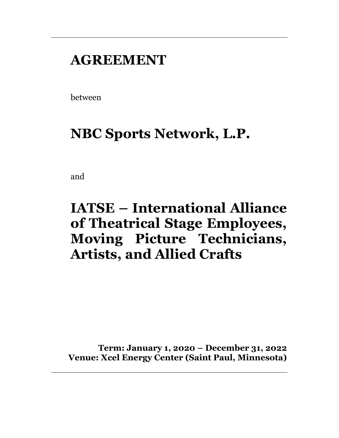# **AGREEMENT**

between

# **NBC Sports Network, L.P.**

and

# **IATSE – International Alliance of Theatrical Stage Employees, Moving Picture Technicians, Artists, and Allied Crafts**

**Term: January 1, 2020 – December 31, 2022 Venue: Xcel Energy Center (Saint Paul, Minnesota)**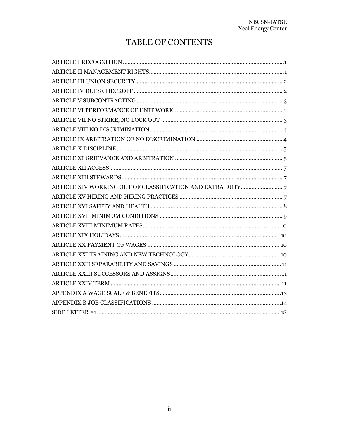# TABLE OF CONTENTS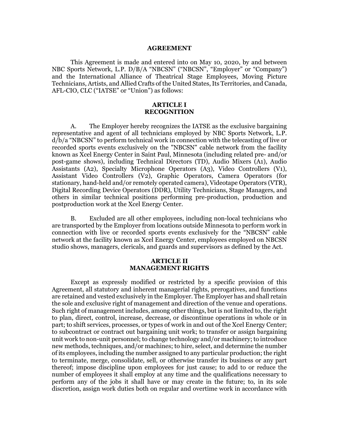#### **AGREEMENT**

 This Agreement is made and entered into on May 10, 2020, by and between NBC Sports Network, L.P. D/B/A "NBCSN" ("NBCSN", "Employer" or "Company") and the International Alliance of Theatrical Stage Employees, Moving Picture Technicians, Artists, and Allied Crafts of the United States, Its Territories, and Canada, AFL-CIO, CLC ("IATSE" or "Union") as follows:

#### **ARTICLE I RECOGNITION**

A. The Employer hereby recognizes the IATSE as the exclusive bargaining representative and agent of all technicians employed by NBC Sports Network, L.P. d/b/a "NBCSN" to perform technical work in connection with the telecasting of live or recorded sports events exclusively on the "NBCSN" cable network from the facility known as Xcel Energy Center in Saint Paul, Minnesota (including related pre- and/or post-game shows), including Technical Directors (TD), Audio Mixers (A1), Audio Assistants (A2), Specialty Microphone Operators (A3), Video Controllers (V1), Assistant Video Controllers (V2), Graphic Operators, Camera Operators (for stationary, hand-held and/or remotely operated camera), Videotape Operators (VTR), Digital Recording Device Operators (DDR), Utility Technicians, Stage Managers, and others in similar technical positions performing pre-production, production and postproduction work at the Xcel Energy Center.

B. Excluded are all other employees, including non-local technicians who are transported by the Employer from locations outside Minnesota to perform work in connection with live or recorded sports events exclusively for the "NBCSN" cable network at the facility known as Xcel Energy Center, employees employed on NBCSN studio shows, managers, clericals, and guards and supervisors as defined by the Act.

#### **ARTICLE II MANAGEMENT RIGHTS**

Except as expressly modified or restricted by a specific provision of this Agreement, all statutory and inherent managerial rights, prerogatives, and functions are retained and vested exclusively in the Employer. The Employer has and shall retain the sole and exclusive right of management and direction of the venue and operations. Such right of management includes, among other things, but is not limited to, the right to plan, direct, control, increase, decrease, or discontinue operations in whole or in part; to shift services, processes, or types of work in and out of the Xcel Energy Center; to subcontract or contract out bargaining unit work; to transfer or assign bargaining unit work to non-unit personnel; to change technology and/or machinery; to introduce new methods, techniques, and/or machines; to hire, select, and determine the number of its employees, including the number assigned to any particular production; the right to terminate, merge, consolidate, sell, or otherwise transfer its business or any part thereof; impose discipline upon employees for just cause; to add to or reduce the number of employees it shall employ at any time and the qualifications necessary to perform any of the jobs it shall have or may create in the future; to, in its sole discretion, assign work duties both on regular and overtime work in accordance with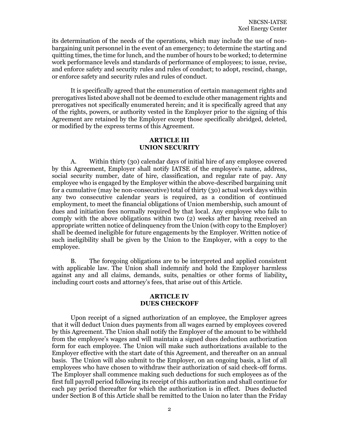its determination of the needs of the operations, which may include the use of nonbargaining unit personnel in the event of an emergency; to determine the starting and quitting times, the time for lunch, and the number of hours to be worked; to determine work performance levels and standards of performance of employees; to issue, revise, and enforce safety and security rules and rules of conduct; to adopt, rescind, change, or enforce safety and security rules and rules of conduct.

 It is specifically agreed that the enumeration of certain management rights and prerogatives listed above shall not be deemed to exclude other management rights and prerogatives not specifically enumerated herein; and it is specifically agreed that any of the rights, powers, or authority vested in the Employer prior to the signing of this Agreement are retained by the Employer except those specifically abridged, deleted, or modified by the express terms of this Agreement.

# **ARTICLE III UNION SECURITY**

A. Within thirty (30) calendar days of initial hire of any employee covered by this Agreement, Employer shall notify IATSE of the employee's name, address, social security number, date of hire, classification, and regular rate of pay. Any employee who is engaged by the Employer within the above-described bargaining unit for a cumulative (may be non-consecutive) total of thirty (30) actual work days within any two consecutive calendar years is required, as a condition of continued employment, to meet the financial obligations of Union membership, such amount of dues and initiation fees normally required by that local. Any employee who fails to comply with the above obligations within two (2) weeks after having received an appropriate written notice of delinquency from the Union (with copy to the Employer) shall be deemed ineligible for future engagements by the Employer. Written notice of such ineligibility shall be given by the Union to the Employer, with a copy to the employee.

B. The foregoing obligations are to be interpreted and applied consistent with applicable law. The Union shall indemnify and hold the Employer harmless against any and all claims, demands, suits, penalties or other forms of liability, including court costs and attorney's fees, that arise out of this Article.

#### **ARTICLE IV DUES CHECKOFF**

 Upon receipt of a signed authorization of an employee, the Employer agrees that it will deduct Union dues payments from all wages earned by employees covered by this Agreement. The Union shall notify the Employer of the amount to be withheld from the employee's wages and will maintain a signed dues deduction authorization form for each employee. The Union will make such authorizations available to the Employer effective with the start date of this Agreement, and thereafter on an annual basis. The Union will also submit to the Employer, on an ongoing basis, a list of all employees who have chosen to withdraw their authorization of said check-off forms. The Employer shall commence making such deductions for such employees as of the first full payroll period following its receipt of this authorization and shall continue for each pay period thereafter for which the authorization is in effect. Dues deducted under Section B of this Article shall be remitted to the Union no later than the Friday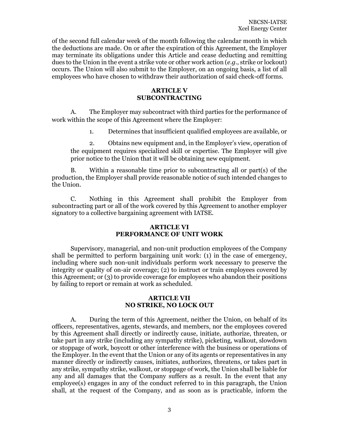of the second full calendar week of the month following the calendar month in which the deductions are made. On or after the expiration of this Agreement, the Employer may terminate its obligations under this Article and cease deducting and remitting dues to the Union in the event a strike vote or other work action (*e.g.*, strike or lockout) occurs. The Union will also submit to the Employer, on an ongoing basis, a list of all employees who have chosen to withdraw their authorization of said check-off forms.

## **ARTICLE V SUBCONTRACTING**

A. The Employer may subcontract with third parties for the performance of work within the scope of this Agreement where the Employer:

1. Determines that insufficient qualified employees are available, or

2. Obtains new equipment and, in the Employer's view, operation of the equipment requires specialized skill or expertise. The Employer will give prior notice to the Union that it will be obtaining new equipment.

B. Within a reasonable time prior to subcontracting all or part(s) of the production, the Employer shall provide reasonable notice of such intended changes to the Union.

C. Nothing in this Agreement shall prohibit the Employer from subcontracting part or all of the work covered by this Agreement to another employer signatory to a collective bargaining agreement with IATSE.

## **ARTICLE VI PERFORMANCE OF UNIT WORK**

Supervisory, managerial, and non-unit production employees of the Company shall be permitted to perform bargaining unit work: (1) in the case of emergency, including where such non-unit individuals perform work necessary to preserve the integrity or quality of on-air coverage; (2) to instruct or train employees covered by this Agreement; or (3) to provide coverage for employees who abandon their positions by failing to report or remain at work as scheduled.

# **ARTICLE VII NO STRIKE, NO LOCK OUT**

A. During the term of this Agreement, neither the Union, on behalf of its officers, representatives, agents, stewards, and members, nor the employees covered by this Agreement shall directly or indirectly cause, initiate, authorize, threaten, or take part in any strike (including any sympathy strike), picketing, walkout, slowdown or stoppage of work, boycott or other interference with the business or operations of the Employer. In the event that the Union or any of its agents or representatives in any manner directly or indirectly causes, initiates, authorizes, threatens, or takes part in any strike, sympathy strike, walkout, or stoppage of work, the Union shall be liable for any and all damages that the Company suffers as a result. In the event that any employee(s) engages in any of the conduct referred to in this paragraph, the Union shall, at the request of the Company, and as soon as is practicable, inform the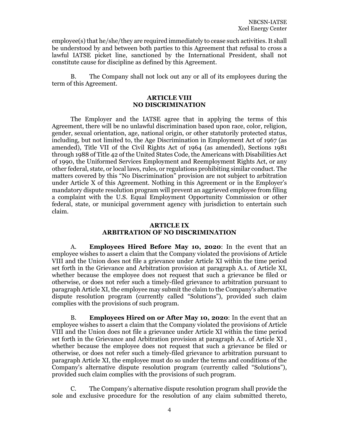employee(s) that he/she/they are required immediately to cease such activities. It shall be understood by and between both parties to this Agreement that refusal to cross a lawful IATSE picket line, sanctioned by the International President, shall not constitute cause for discipline as defined by this Agreement.

B. The Company shall not lock out any or all of its employees during the term of this Agreement.

# **ARTICLE VIII NO DISCRIMINATION**

 The Employer and the IATSE agree that in applying the terms of this Agreement, there will be no unlawful discrimination based upon race, color, religion, gender, sexual orientation, age, national origin, or other statutorily protected status, including, but not limited to, the Age Discrimination in Employment Act of 1967 (as amended), Title VII of the Civil Rights Act of 1964 (as amended), Sections 1981 through 1988 of Title 42 of the United States Code, the Americans with Disabilities Act of 1990, the Uniformed Services Employment and Reemployment Rights Act, or any other federal, state, or local laws, rules, or regulations prohibiting similar conduct. The matters covered by this "No Discrimination" provision are not subject to arbitration under Article X of this Agreement. Nothing in this Agreement or in the Employer's mandatory dispute resolution program will prevent an aggrieved employee from filing a complaint with the U.S. Equal Employment Opportunity Commission or other federal, state, or municipal government agency with jurisdiction to entertain such claim.

# **ARTICLE IX ARBITRATION OF NO DISCRIMINATION**

A. **Employees Hired Before May 10, 2020**: In the event that an employee wishes to assert a claim that the Company violated the provisions of Article VIII and the Union does not file a grievance under Article XI within the time period set forth in the Grievance and Arbitration provision at paragraph A.1. of Article XI, whether because the employee does not request that such a grievance be filed or otherwise, or does not refer such a timely-filed grievance to arbitration pursuant to paragraph Article XI, the employee may submit the claim to the Company's alternative dispute resolution program (currently called "Solutions"), provided such claim complies with the provisions of such program.

B. **Employees Hired on or After May 10, 2020**: In the event that an employee wishes to assert a claim that the Company violated the provisions of Article VIII and the Union does not file a grievance under Article XI within the time period set forth in the Grievance and Arbitration provision at paragraph A.1. of Article XI , whether because the employee does not request that such a grievance be filed or otherwise, or does not refer such a timely-filed grievance to arbitration pursuant to paragraph Article XI, the employee must do so under the terms and conditions of the Company's alternative dispute resolution program (currently called "Solutions"), provided such claim complies with the provisions of such program.

C. The Company's alternative dispute resolution program shall provide the sole and exclusive procedure for the resolution of any claim submitted thereto,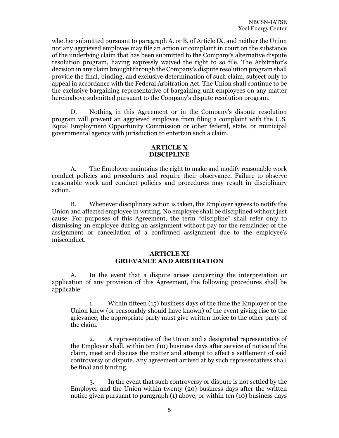whether submitted pursuant to paragraph A. or B. of Article IX, and neither the Union nor any aggrieved employee may file an action or complaint in court on the substance of the underlying claim that has been submitted to the Company's alternative dispute resolution program, having expressly waived the right to so file. The Arbitrator's decision in any claim brought through the Company's dispute resolution program shall provide the final, binding, and exclusive determination of such claim, subject only to appeal in accordance with the Federal Arbitration Act. The Union shall continue to be the exclusive bargaining representative of bargaining unit employees on any matter hereinabove submitted pursuant to the Company's dispute resolution program.

D. Nothing in this Agreement or in the Company's dispute resolution program will prevent an aggrieved employee from filing a complaint with the U.S. Equal Employment Opportunity Commission or other federal, state, or municipal governmental agency with jurisdiction to entertain such a claim.

#### **ARTICLE X DISCIPLINE**

A. The Employer maintains the right to make and modify reasonable work conduct policies and procedures and require their observance. Failure to observe reasonable work and conduct policies and procedures may result in disciplinary action.

 B. Whenever disciplinary action is taken, the Employer agrees to notify the Union and affected employee in writing. No employee shall be disciplined without just cause. For purposes of this Agreement, the term "discipline" shall refer only to dismissing an employee during an assignment without pay for the remainder of the assignment or cancellation of a confirmed assignment due to the employee's misconduct.

## **ARTICLE XI GRIEVANCE AND ARBITRATION**

A. In the event that a dispute arises concerning the interpretation or application of any provision of this Agreement, the following procedures shall be applicable:

1. Within fifteen (15) business days of the time the Employer or the Union knew (or reasonably should have known) of the event giving rise to the grievance, the appropriate party must give written notice to the other party of the claim.

2. A representative of the Union and a designated representative of the Employer shall, within ten (10) business days after service of notice of the claim, meet and discuss the matter and attempt to effect a settlement of said controversy or dispute. Any agreement arrived at by such representatives shall be final and binding.

3. In the event that such controversy or dispute is not settled by the Employer and the Union within twenty (20) business days after the written notice given pursuant to paragraph (1) above, or within ten (10) business days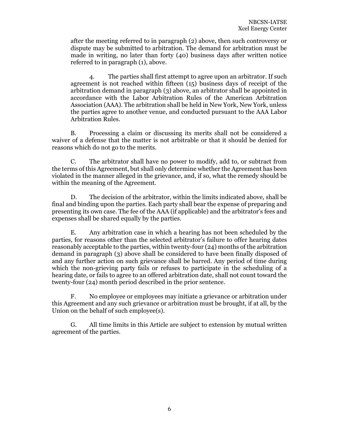after the meeting referred to in paragraph (2) above, then such controversy or dispute may be submitted to arbitration. The demand for arbitration must be made in writing, no later than forty (40) business days after written notice referred to in paragraph (1), above.

4. The parties shall first attempt to agree upon an arbitrator. If such agreement is not reached within fifteen (15) business days of receipt of the arbitration demand in paragraph (3) above, an arbitrator shall be appointed in accordance with the Labor Arbitration Rules of the American Arbitration Association (AAA). The arbitration shall be held in New York, New York, unless the parties agree to another venue, and conducted pursuant to the AAA Labor Arbitration Rules.

B. Processing a claim or discussing its merits shall not be considered a waiver of a defense that the matter is not arbitrable or that it should be denied for reasons which do not go to the merits.

C. The arbitrator shall have no power to modify, add to, or subtract from the terms of this Agreement, but shall only determine whether the Agreement has been violated in the manner alleged in the grievance, and, if so, what the remedy should be within the meaning of the Agreement.

D. The decision of the arbitrator, within the limits indicated above, shall be final and binding upon the parties. Each party shall bear the expense of preparing and presenting its own case. The fee of the AAA (if applicable) and the arbitrator's fees and expenses shall be shared equally by the parties.

E. Any arbitration case in which a hearing has not been scheduled by the parties, for reasons other than the selected arbitrator's failure to offer hearing dates reasonably acceptable to the parties, within twenty-four (24) months of the arbitration demand in paragraph (3) above shall be considered to have been finally disposed of and any further action on such grievance shall be barred. Any period of time during which the non-grieving party fails or refuses to participate in the scheduling of a hearing date, or fails to agree to an offered arbitration date, shall not count toward the twenty-four (24) month period described in the prior sentence.

F. No employee or employees may initiate a grievance or arbitration under this Agreement and any such grievance or arbitration must be brought, if at all, by the Union on the behalf of such employee(s).

G. All time limits in this Article are subject to extension by mutual written agreement of the parties.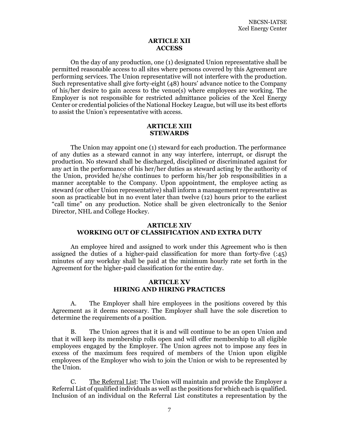#### **ARTICLE XII ACCESS**

On the day of any production, one (1) designated Union representative shall be permitted reasonable access to all sites where persons covered by this Agreement are performing services. The Union representative will not interfere with the production. Such representative shall give forty-eight (48) hours' advance notice to the Company of his/her desire to gain access to the venue(s) where employees are working. The Employer is not responsible for restricted admittance policies of the Xcel Energy Center or credential policies of the National Hockey League, but will use its best efforts to assist the Union's representative with access.

#### **ARTICLE XIII STEWARDS**

The Union may appoint one (1) steward for each production. The performance of any duties as a steward cannot in any way interfere, interrupt, or disrupt the production. No steward shall be discharged, disciplined or discriminated against for any act in the performance of his her/her duties as steward acting by the authority of the Union, provided he/she continues to perform his/her job responsibilities in a manner acceptable to the Company. Upon appointment, the employee acting as steward (or other Union representative) shall inform a management representative as soon as practicable but in no event later than twelve (12) hours prior to the earliest "call time" on any production. Notice shall be given electronically to the Senior Director, NHL and College Hockey.

# **ARTICLE XIV WORKING OUT OF CLASSIFICATION AND EXTRA DUTY**

An employee hired and assigned to work under this Agreement who is then assigned the duties of a higher-paid classification for more than forty-five (:45) minutes of any workday shall be paid at the minimum hourly rate set forth in the Agreement for the higher-paid classification for the entire day.

### **ARTICLE XV HIRING AND HIRING PRACTICES**

A. The Employer shall hire employees in the positions covered by this Agreement as it deems necessary. The Employer shall have the sole discretion to determine the requirements of a position.

 B. The Union agrees that it is and will continue to be an open Union and that it will keep its membership rolls open and will offer membership to all eligible employees engaged by the Employer. The Union agrees not to impose any fees in excess of the maximum fees required of members of the Union upon eligible employees of the Employer who wish to join the Union or wish to be represented by the Union.

 C. The Referral List: The Union will maintain and provide the Employer a Referral List of qualified individuals as well as the positions for which each is qualified. Inclusion of an individual on the Referral List constitutes a representation by the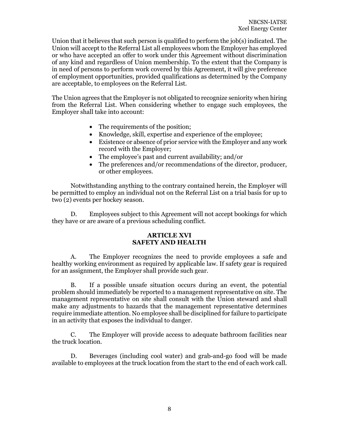Union that it believes that such person is qualified to perform the job(s) indicated. The Union will accept to the Referral List all employees whom the Employer has employed or who have accepted an offer to work under this Agreement without discrimination of any kind and regardless of Union membership. To the extent that the Company is in need of persons to perform work covered by this Agreement, it will give preference of employment opportunities, provided qualifications as determined by the Company are acceptable, to employees on the Referral List.

The Union agrees that the Employer is not obligated to recognize seniority when hiring from the Referral List. When considering whether to engage such employees, the Employer shall take into account:

- The requirements of the position;
- Knowledge, skill, expertise and experience of the employee;
- Existence or absence of prior service with the Employer and any work record with the Employer;
- The employee's past and current availability; and/or
- The preferences and/or recommendations of the director, producer, or other employees.

 Notwithstanding anything to the contrary contained herein, the Employer will be permitted to employ an individual not on the Referral List on a trial basis for up to two (2) events per hockey season.

 D. Employees subject to this Agreement will not accept bookings for which they have or are aware of a previous scheduling conflict.

# **ARTICLE XVI SAFETY AND HEALTH**

A. The Employer recognizes the need to provide employees a safe and healthy working environment as required by applicable law. If safety gear is required for an assignment, the Employer shall provide such gear.

B. If a possible unsafe situation occurs during an event, the potential problem should immediately be reported to a management representative on site. The management representative on site shall consult with the Union steward and shall make any adjustments to hazards that the management representative determines require immediate attention. No employee shall be disciplined for failure to participate in an activity that exposes the individual to danger.

C. The Employer will provide access to adequate bathroom facilities near the truck location.

D. Beverages (including cool water) and grab-and-go food will be made available to employees at the truck location from the start to the end of each work call.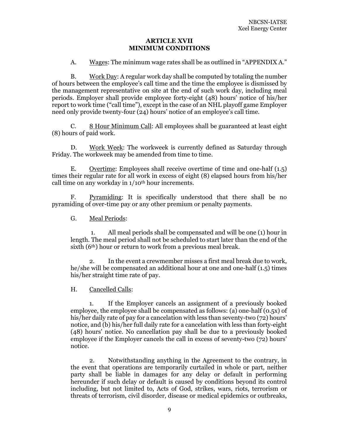#### **ARTICLE XVII MINIMUM CONDITIONS**

A. Wages: The minimum wage rates shall be as outlined in "APPENDIX A."

B. Work Day: A regular work day shall be computed by totaling the number of hours between the employee's call time and the time the employee is dismissed by the management representative on site at the end of such work day, including meal periods. Employer shall provide employee forty-eight (48) hours' notice of his/her report to work time ("call time"), except in the case of an NHL playoff game Employer need only provide twenty-four (24) hours' notice of an employee's call time.

C. 8 Hour Minimum Call: All employees shall be guaranteed at least eight (8) hours of paid work.

D. Work Week: The workweek is currently defined as Saturday through Friday. The workweek may be amended from time to time.

E. Overtime: Employees shall receive overtime of time and one-half (1.5) times their regular rate for all work in excess of eight (8) elapsed hours from his/her call time on any workday in 1/10th hour increments.

F. Pyramiding: It is specifically understood that there shall be no pyramiding of over-time pay or any other premium or penalty payments.

G. Meal Periods:

 1. All meal periods shall be compensated and will be one (1) hour in length. The meal period shall not be scheduled to start later than the end of the sixth (6<sup>th</sup>) hour or return to work from a previous meal break.

2. In the event a crewmember misses a first meal break due to work, he/she will be compensated an additional hour at one and one-half (1.5) times his/her straight time rate of pay.

H. Cancelled Calls:

1. If the Employer cancels an assignment of a previously booked employee, the employee shall be compensated as follows: (a) one-half (0.5x) of his/her daily rate of pay for a cancelation with less than seventy-two (72) hours' notice, and (b) his/her full daily rate for a cancelation with less than forty-eight (48) hours' notice. No cancellation pay shall be due to a previously booked employee if the Employer cancels the call in excess of seventy-two (72) hours' notice.

2. Notwithstanding anything in the Agreement to the contrary, in the event that operations are temporarily curtailed in whole or part, neither party shall be liable in damages for any delay or default in performing hereunder if such delay or default is caused by conditions beyond its control including, but not limited to, Acts of God, strikes, wars, riots, terrorism or threats of terrorism, civil disorder, disease or medical epidemics or outbreaks,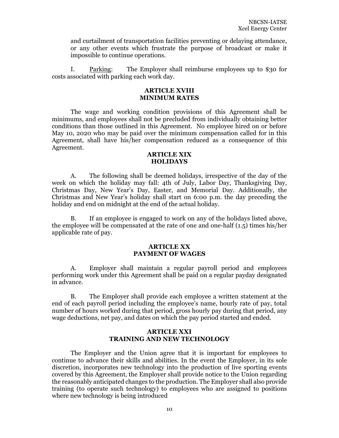and curtailment of transportation facilities preventing or delaying attendance, or any other events which frustrate the purpose of broadcast or make it impossible to continue operations.

I. Parking: The Employer shall reimburse employees up to \$30 for costs associated with parking each work day.

#### **ARTICLE XVIII MINIMUM RATES**

 The wage and working condition provisions of this Agreement shall be minimums, and employees shall not be precluded from individually obtaining better conditions than those outlined in this Agreement. No employee hired on or before May 10, 2020 who may be paid over the minimum compensation called for in this Agreement, shall have his/her compensation reduced as a consequence of this Agreement.

#### **ARTICLE XIX HOLIDAYS**

A. The following shall be deemed holidays, irrespective of the day of the week on which the holiday may fall: 4th of July, Labor Day, Thanksgiving Day, Christmas Day, New Year's Day, Easter, and Memorial Day. Additionally, the Christmas and New Year's holiday shall start on 6:00 p.m. the day preceding the holiday and end on midnight at the end of the actual holiday.

B. If an employee is engaged to work on any of the holidays listed above, the employee will be compensated at the rate of one and one-half (1.5) times his/her applicable rate of pay.

#### **ARTICLE XX PAYMENT OF WAGES**

A. Employer shall maintain a regular payroll period and employees performing work under this Agreement shall be paid on a regular payday designated in advance.

B. The Employer shall provide each employee a written statement at the end of each payroll period including the employee's name, hourly rate of pay, total number of hours worked during that period, gross hourly pay during that period, any wage deductions, net pay, and dates on which the pay period started and ended.

# **ARTICLE XXI TRAINING AND NEW TECHNOLOGY**

 The Employer and the Union agree that it is important for employees to continue to advance their skills and abilities. In the event the Employer, in its sole discretion, incorporates new technology into the production of live sporting events covered by this Agreement, the Employer shall provide notice to the Union regarding the reasonably anticipated changes to the production. The Employer shall also provide training (to operate such technology) to employees who are assigned to positions where new technology is being introduced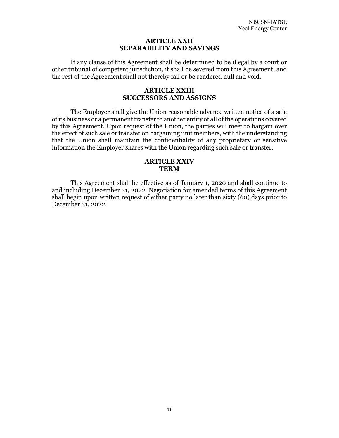#### **ARTICLE XXII SEPARABILITY AND SAVINGS**

If any clause of this Agreement shall be determined to be illegal by a court or other tribunal of competent jurisdiction, it shall be severed from this Agreement, and the rest of the Agreement shall not thereby fail or be rendered null and void.

#### **ARTICLE XXIII SUCCESSORS AND ASSIGNS**

 The Employer shall give the Union reasonable advance written notice of a sale of its business or a permanent transfer to another entity of all of the operations covered by this Agreement. Upon request of the Union, the parties will meet to bargain over the effect of such sale or transfer on bargaining unit members, with the understanding that the Union shall maintain the confidentiality of any proprietary or sensitive information the Employer shares with the Union regarding such sale or transfer.

# **ARTICLE XXIV TERM**

 This Agreement shall be effective as of January 1, 2020 and shall continue to and including December 31, 2022. Negotiation for amended terms of this Agreement shall begin upon written request of either party no later than sixty (60) days prior to December 31, 2022.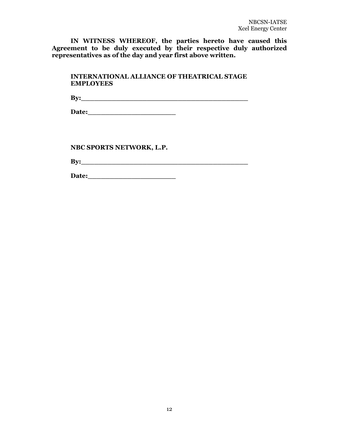**IN WITNESS WHEREOF, the parties hereto have caused this Agreement to be duly executed by their respective duly authorized representatives as of the day and year first above written.** 

| <b>INTERNATIONAL ALLIANCE OF THEATRICAL STAGE</b><br><b>EMPLOYEES</b> |
|-----------------------------------------------------------------------|
| $\mathbf{B} \mathbf{y}$ :                                             |
|                                                                       |
|                                                                       |
|                                                                       |
| NBC SPORTS NETWORK, L.P.                                              |
| Bv:                                                                   |

**Date:\_\_\_\_\_\_\_\_\_\_\_\_\_\_\_\_\_\_\_\_**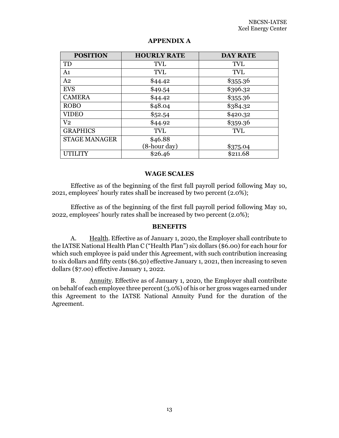| <b>POSITION</b>      | <b>HOURLY RATE</b> | <b>DAY RATE</b> |
|----------------------|--------------------|-----------------|
| TD                   | <b>TVL</b>         | <b>TVL</b>      |
| A <sub>1</sub>       | <b>TVL</b>         | <b>TVL</b>      |
| A <sub>2</sub>       | \$44.42            | \$355.36        |
| <b>EVS</b>           | \$49.54            | \$396.32        |
| <b>CAMERA</b>        | \$44.42            | \$355.36        |
| <b>ROBO</b>          | \$48.04            | \$384.32        |
| <b>VIDEO</b>         | \$52.54            | \$420.32        |
| V <sub>2</sub>       | \$44.92            | \$359.36        |
| <b>GRAPHICS</b>      | <b>TVL</b>         | <b>TVL</b>      |
| <b>STAGE MANAGER</b> | \$46.88            |                 |
|                      | (8-hour day)       | \$375.04        |
| UTILITY              | \$26.46            | \$211.68        |

# **APPENDIX A**

# **WAGE SCALES**

Effective as of the beginning of the first full payroll period following May 10, 2021, employees' hourly rates shall be increased by two percent (2.0%);

 Effective as of the beginning of the first full payroll period following May 10, 2022, employees' hourly rates shall be increased by two percent (2.0%);

#### **BENEFITS**

A. Health. Effective as of January 1, 2020, the Employer shall contribute to the IATSE National Health Plan C ("Health Plan") six dollars (\$6.00) for each hour for which such employee is paid under this Agreement, with such contribution increasing to six dollars and fifty cents (\$6.50) effective January 1, 2021, then increasing to seven dollars (\$7.00) effective January 1, 2022.

B. Annuity. Effective as of January 1, 2020, the Employer shall contribute on behalf of each employee three percent (3.0%) of his or her gross wages earned under this Agreement to the IATSE National Annuity Fund for the duration of the Agreement.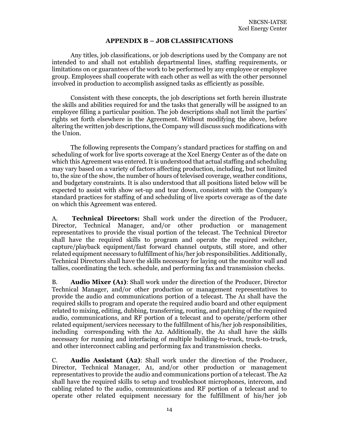# **APPENDIX B – JOB CLASSIFICATIONS**

Any titles, job classifications, or job descriptions used by the Company are not intended to and shall not establish departmental lines, staffing requirements, or limitations on or guarantees of the work to be performed by any employee or employee group. Employees shall cooperate with each other as well as with the other personnel involved in production to accomplish assigned tasks as efficiently as possible.

Consistent with these concepts, the job descriptions set forth herein illustrate the skills and abilities required for and the tasks that generally will be assigned to an employee filling a particular position. The job descriptions shall not limit the parties' rights set forth elsewhere in the Agreement. Without modifying the above, before altering the written job descriptions, the Company will discuss such modifications with the Union.

The following represents the Company's standard practices for staffing on and scheduling of work for live sports coverage at the Xcel Energy Center as of the date on which this Agreement was entered. It is understood that actual staffing and scheduling may vary based on a variety of factors affecting production, including, but not limited to, the size of the show, the number of hours of televised coverage, weather conditions, and budgetary constraints. It is also understood that all positions listed below will be expected to assist with show set-up and tear down, consistent with the Company's standard practices for staffing of and scheduling of live sports coverage as of the date on which this Agreement was entered.

A. **Technical Directors:** Shall work under the direction of the Producer, Director, Technical Manager, and/or other production or management representatives to provide the visual portion of the telecast. The Technical Director shall have the required skills to program and operate the required switcher, capture/playback equipment/fast forward channel outputs, still store, and other related equipment necessary to fulfillment of his/her job responsibilities. Additionally, Technical Directors shall have the skills necessary for laying out the monitor wall and tallies, coordinating the tech. schedule, and performing fax and transmission checks.

B. **Audio Mixer (A1)**: Shall work under the direction of the Producer, Director Technical Manager, and/or other production or management representatives to provide the audio and communications portion of a telecast. The A1 shall have the required skills to program and operate the required audio board and other equipment related to mixing, editing, dubbing, transferring, routing, and patching of the required audio, communications, and RF portion of a telecast and to operate/perform other related equipment/services necessary to the fulfillment of his/her job responsibilities, including corresponding with the A2. Additionally, the A1 shall have the skills necessary for running and interfacing of multiple building-to-truck, truck-to-truck, and other interconnect cabling and performing fax and transmission checks.

C. **Audio Assistant (A2)**: Shall work under the direction of the Producer, Director, Technical Manager, A1, and/or other production or management representatives to provide the audio and communications portion of a telecast. The A2 shall have the required skills to setup and troubleshoot microphones, intercom, and cabling related to the audio, communications and RF portion of a telecast and to operate other related equipment necessary for the fulfillment of his/her job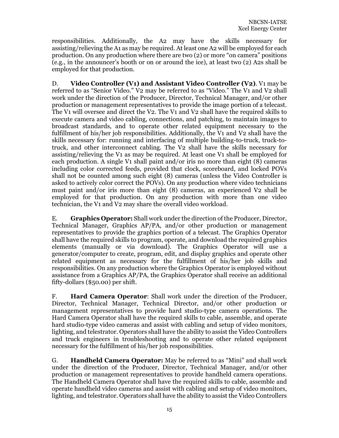responsibilities. Additionally, the A2 may have the skills necessary for assisting/relieving the A1 as may be required. At least one A2 will be employed for each production. On any production where there are two (2) or more "on camera" positions (e.g., in the announcer's booth or on or around the ice), at least two (2) A2s shall be employed for that production.

D. **Video Controller (V1) and Assistant Video Controller (V2)**. V1 may be referred to as "Senior Video." V2 may be referred to as "Video." The V1 and V2 shall work under the direction of the Producer, Director, Technical Manager, and/or other production or management representatives to provide the image portion of a telecast. The V1 will oversee and direct the V2. The V1 and V2 shall have the required skills to execute camera and video cabling, connections, and patching, to maintain images to broadcast standards, and to operate other related equipment necessary to the fulfillment of his/her job responsibilities. Additionally, the V1 and V2 shall have the skills necessary for: running and interfacing of multiple building-to-truck, truck-totruck, and other interconnect cabling. The V2 shall have the skills necessary for assisting/relieving the V1 as may be required. At least one V1 shall be employed for each production. A single V1 shall paint and/or iris no more than eight (8) cameras including color corrected feeds, provided that clock, scoreboard, and locked POVs shall not be counted among such eight (8) cameras (unless the Video Controller is asked to actively color correct the POVs). On any production where video technicians must paint and/or iris more than eight (8) cameras, an experienced V2 shall be employed for that production. On any production with more than one video technician, the V1 and V2 may share the overall video workload.

E. **Graphics Operator:** Shall work under the direction of the Producer, Director, Technical Manager, Graphics AP/PA, and/or other production or management representatives to provide the graphics portion of a telecast. The Graphics Operator shall have the required skills to program, operate, and download the required graphics elements (manually or via download). The Graphics Operator will use a generator/computer to create, program, edit, and display graphics and operate other related equipment as necessary for the fulfillment of his/her job skills and responsibilities. On any production where the Graphics Operator is employed without assistance from a Graphics AP/PA, the Graphics Operator shall receive an additional fifty-dollars (\$50.00) per shift.

F. **Hard Camera Operator**: Shall work under the direction of the Producer, Director, Technical Manager, Technical Director, and/or other production or management representatives to provide hard studio-type camera operations. The Hard Camera Operator shall have the required skills to cable, assemble, and operate hard studio-type video cameras and assist with cabling and setup of video monitors, lighting, and telestrator. Operators shall have the ability to assist the Video Controllers and truck engineers in troubleshooting and to operate other related equipment necessary for the fulfillment of his/her job responsibilities.

G. **Handheld Camera Operator:** May be referred to as "Mini" and shall work under the direction of the Producer, Director, Technical Manager, and/or other production or management representatives to provide handheld camera operations. The Handheld Camera Operator shall have the required skills to cable, assemble and operate handheld video cameras and assist with cabling and setup of video monitors, lighting, and telestrator. Operators shall have the ability to assist the Video Controllers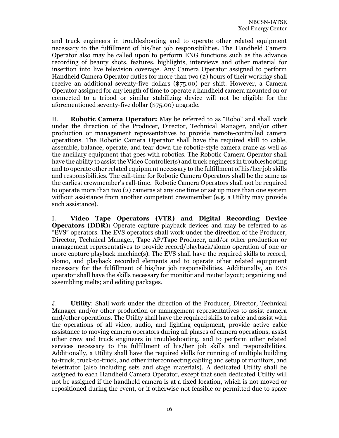and truck engineers in troubleshooting and to operate other related equipment necessary to the fulfillment of his/her job responsibilities. The Handheld Camera Operator also may be called upon to perform ENG functions such as the advance recording of beauty shots, features, highlights, interviews and other material for insertion into live television coverage. Any Camera Operator assigned to perform Handheld Camera Operator duties for more than two (2) hours of their workday shall receive an additional seventy-five dollars (\$75.00) per shift. However, a Camera Operator assigned for any length of time to operate a handheld camera mounted on or connected to a tripod or similar stabilizing device will not be eligible for the aforementioned seventy-five dollar (\$75.00) upgrade.

H. **Robotic Camera Operator:** May be referred to as "Robo" and shall work under the direction of the Producer, Director, Technical Manager, and/or other production or management representatives to provide remote-controlled camera operations. The Robotic Camera Operator shall have the required skill to cable, assemble, balance, operate, and tear down the robotic-style camera crane as well as the ancillary equipment that goes with robotics. The Robotic Camera Operator shall have the ability to assist the Video Controller(s) and truck engineers in troubleshooting and to operate other related equipment necessary to the fulfillment of his/her job skills and responsibilities. The call-time for Robotic Camera Operators shall be the same as the earliest crewmember's call-time. Robotic Camera Operators shall not be required to operate more than two (2) cameras at any one time or set up more than one system without assistance from another competent crewmember (e.g. a Utility may provide such assistance).

I. **Video Tape Operators (VTR) and Digital Recording Device Operators (DDR):** Operate capture playback devices and may be referred to as "EVS" operators. The EVS operators shall work under the direction of the Producer, Director, Technical Manager, Tape AP/Tape Producer, and/or other production or management representatives to provide record/playback/slomo operation of one or more capture playback machine(s). The EVS shall have the required skills to record, slomo, and playback recorded elements and to operate other related equipment necessary for the fulfillment of his/her job responsibilities. Additionally, an EVS operator shall have the skills necessary for monitor and router layout; organizing and assembling melts; and editing packages.

J. **Utility**: Shall work under the direction of the Producer, Director, Technical Manager and/or other production or management representatives to assist camera and/other operations. The Utility shall have the required skills to cable and assist with the operations of all video, audio, and lighting equipment, provide active cable assistance to moving camera operators during all phases of camera operations, assist other crew and truck engineers in troubleshooting, and to perform other related services necessary to the fulfillment of his/her job skills and responsibilities. Additionally, a Utility shall have the required skills for running of multiple building to-truck, truck-to-truck, and other interconnecting cabling and setup of monitors, and telestrator (also including sets and stage materials). A dedicated Utility shall be assigned to each Handheld Camera Operator, except that such dedicated Utility will not be assigned if the handheld camera is at a fixed location, which is not moved or repositioned during the event, or if otherwise not feasible or permitted due to space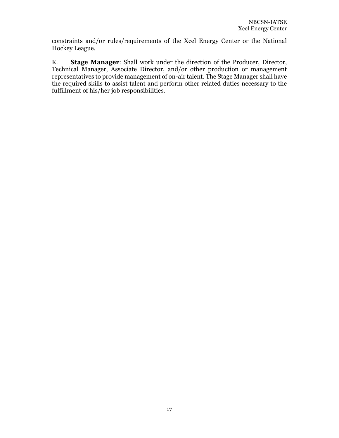constraints and/or rules/requirements of the Xcel Energy Center or the National Hockey League.

K. **Stage Manager**: Shall work under the direction of the Producer, Director, Technical Manager, Associate Director, and/or other production or management representatives to provide management of on-air talent. The Stage Manager shall have the required skills to assist talent and perform other related duties necessary to the fulfillment of his/her job responsibilities.